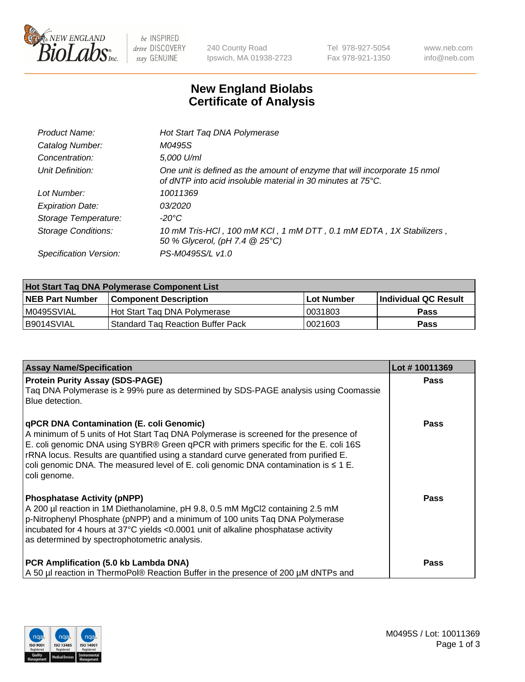

 $be$  INSPIRED drive DISCOVERY stay GENUINE

240 County Road Ipswich, MA 01938-2723 Tel 978-927-5054 Fax 978-921-1350 www.neb.com info@neb.com

## **New England Biolabs Certificate of Analysis**

| Product Name:              | Hot Start Tag DNA Polymerase                                                                                                             |
|----------------------------|------------------------------------------------------------------------------------------------------------------------------------------|
| Catalog Number:            | M0495S                                                                                                                                   |
| Concentration:             | 5,000 U/ml                                                                                                                               |
| Unit Definition:           | One unit is defined as the amount of enzyme that will incorporate 15 nmol<br>of dNTP into acid insoluble material in 30 minutes at 75°C. |
| Lot Number:                | 10011369                                                                                                                                 |
| <b>Expiration Date:</b>    | 03/2020                                                                                                                                  |
| Storage Temperature:       | $-20^{\circ}$ C                                                                                                                          |
| <b>Storage Conditions:</b> | 10 mM Tris-HCl, 100 mM KCl, 1 mM DTT, 0.1 mM EDTA, 1X Stabilizers,<br>50 % Glycerol, (pH 7.4 @ 25°C)                                     |
| Specification Version:     | PS-M0495S/L v1.0                                                                                                                         |

| Hot Start Taq DNA Polymerase Component List |                                    |                   |                      |  |
|---------------------------------------------|------------------------------------|-------------------|----------------------|--|
| <b>NEB Part Number</b>                      | <b>Component Description</b>       | <b>Lot Number</b> | Individual QC Result |  |
| M0495SVIAL                                  | Hot Start Tag DNA Polymerase       | 10031803          | <b>Pass</b>          |  |
| B9014SVIAL                                  | 'Standard Tag Reaction Buffer Pack | 10021603          | Pass                 |  |

| <b>Assay Name/Specification</b>                                                                                                                                                                                                                                                                                                                                                                                              | Lot #10011369 |
|------------------------------------------------------------------------------------------------------------------------------------------------------------------------------------------------------------------------------------------------------------------------------------------------------------------------------------------------------------------------------------------------------------------------------|---------------|
| <b>Protein Purity Assay (SDS-PAGE)</b><br>Taq DNA Polymerase is ≥ 99% pure as determined by SDS-PAGE analysis using Coomassie<br>Blue detection.                                                                                                                                                                                                                                                                             | <b>Pass</b>   |
| qPCR DNA Contamination (E. coli Genomic)<br>A minimum of 5 units of Hot Start Taq DNA Polymerase is screened for the presence of<br>E. coli genomic DNA using SYBR® Green qPCR with primers specific for the E. coli 16S<br>rRNA locus. Results are quantified using a standard curve generated from purified E.<br>coli genomic DNA. The measured level of E. coli genomic DNA contamination is $\leq 1$ E.<br>coli genome. | <b>Pass</b>   |
| <b>Phosphatase Activity (pNPP)</b><br>A 200 µl reaction in 1M Diethanolamine, pH 9.8, 0.5 mM MgCl2 containing 2.5 mM<br>p-Nitrophenyl Phosphate (pNPP) and a minimum of 100 units Taq DNA Polymerase<br>incubated for 4 hours at 37°C yields <0.0001 unit of alkaline phosphatase activity<br>as determined by spectrophotometric analysis.                                                                                  | Pass          |
| PCR Amplification (5.0 kb Lambda DNA)<br>A 50 µl reaction in ThermoPol® Reaction Buffer in the presence of 200 µM dNTPs and                                                                                                                                                                                                                                                                                                  | Pass          |

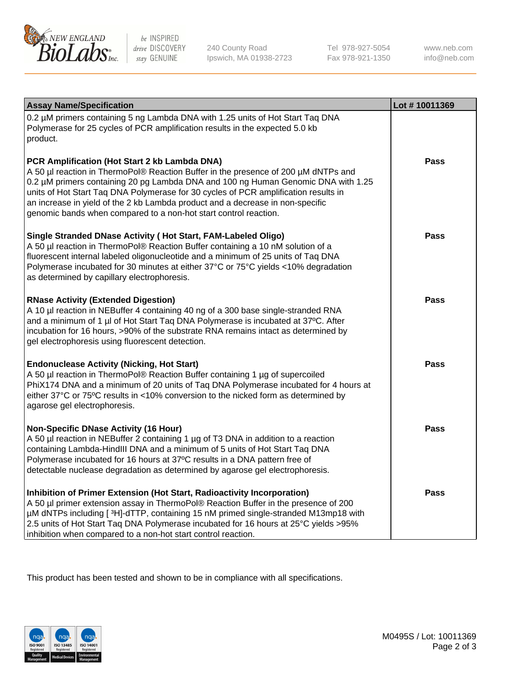

 $be$  INSPIRED drive DISCOVERY stay GENUINE

240 County Road Ipswich, MA 01938-2723 Tel 978-927-5054 Fax 978-921-1350 www.neb.com info@neb.com

| <b>Assay Name/Specification</b>                                                                                                                                                                                                                                                                                                                                                                                                                                       | Lot #10011369 |
|-----------------------------------------------------------------------------------------------------------------------------------------------------------------------------------------------------------------------------------------------------------------------------------------------------------------------------------------------------------------------------------------------------------------------------------------------------------------------|---------------|
| 0.2 µM primers containing 5 ng Lambda DNA with 1.25 units of Hot Start Taq DNA<br>Polymerase for 25 cycles of PCR amplification results in the expected 5.0 kb<br>product.                                                                                                                                                                                                                                                                                            |               |
| PCR Amplification (Hot Start 2 kb Lambda DNA)<br>A 50 µl reaction in ThermoPol® Reaction Buffer in the presence of 200 µM dNTPs and<br>0.2 µM primers containing 20 pg Lambda DNA and 100 ng Human Genomic DNA with 1.25<br>units of Hot Start Taq DNA Polymerase for 30 cycles of PCR amplification results in<br>an increase in yield of the 2 kb Lambda product and a decrease in non-specific<br>genomic bands when compared to a non-hot start control reaction. | Pass          |
| Single Stranded DNase Activity (Hot Start, FAM-Labeled Oligo)<br>A 50 µl reaction in ThermoPol® Reaction Buffer containing a 10 nM solution of a<br>fluorescent internal labeled oligonucleotide and a minimum of 25 units of Taq DNA<br>Polymerase incubated for 30 minutes at either 37°C or 75°C yields <10% degradation<br>as determined by capillary electrophoresis.                                                                                            | Pass          |
| <b>RNase Activity (Extended Digestion)</b><br>A 10 µl reaction in NEBuffer 4 containing 40 ng of a 300 base single-stranded RNA<br>and a minimum of 1 µl of Hot Start Taq DNA Polymerase is incubated at 37°C. After<br>incubation for 16 hours, >90% of the substrate RNA remains intact as determined by<br>gel electrophoresis using fluorescent detection.                                                                                                        | <b>Pass</b>   |
| <b>Endonuclease Activity (Nicking, Hot Start)</b><br>A 50 µl reaction in ThermoPol® Reaction Buffer containing 1 µg of supercoiled<br>PhiX174 DNA and a minimum of 20 units of Taq DNA Polymerase incubated for 4 hours at<br>either 37°C or 75°C results in <10% conversion to the nicked form as determined by<br>agarose gel electrophoresis.                                                                                                                      | <b>Pass</b>   |
| <b>Non-Specific DNase Activity (16 Hour)</b><br>A 50 µl reaction in NEBuffer 2 containing 1 µg of T3 DNA in addition to a reaction<br>containing Lambda-HindIII DNA and a minimum of 5 units of Hot Start Taq DNA<br>Polymerase incubated for 16 hours at 37°C results in a DNA pattern free of<br>detectable nuclease degradation as determined by agarose gel electrophoresis.                                                                                      | <b>Pass</b>   |
| Inhibition of Primer Extension (Hot Start, Radioactivity Incorporation)<br>A 50 µl primer extension assay in ThermoPol® Reaction Buffer in the presence of 200<br>µM dNTPs including [3H]-dTTP, containing 15 nM primed single-stranded M13mp18 with<br>2.5 units of Hot Start Taq DNA Polymerase incubated for 16 hours at 25°C yields > 95%<br>inhibition when compared to a non-hot start control reaction.                                                        | Pass          |

This product has been tested and shown to be in compliance with all specifications.